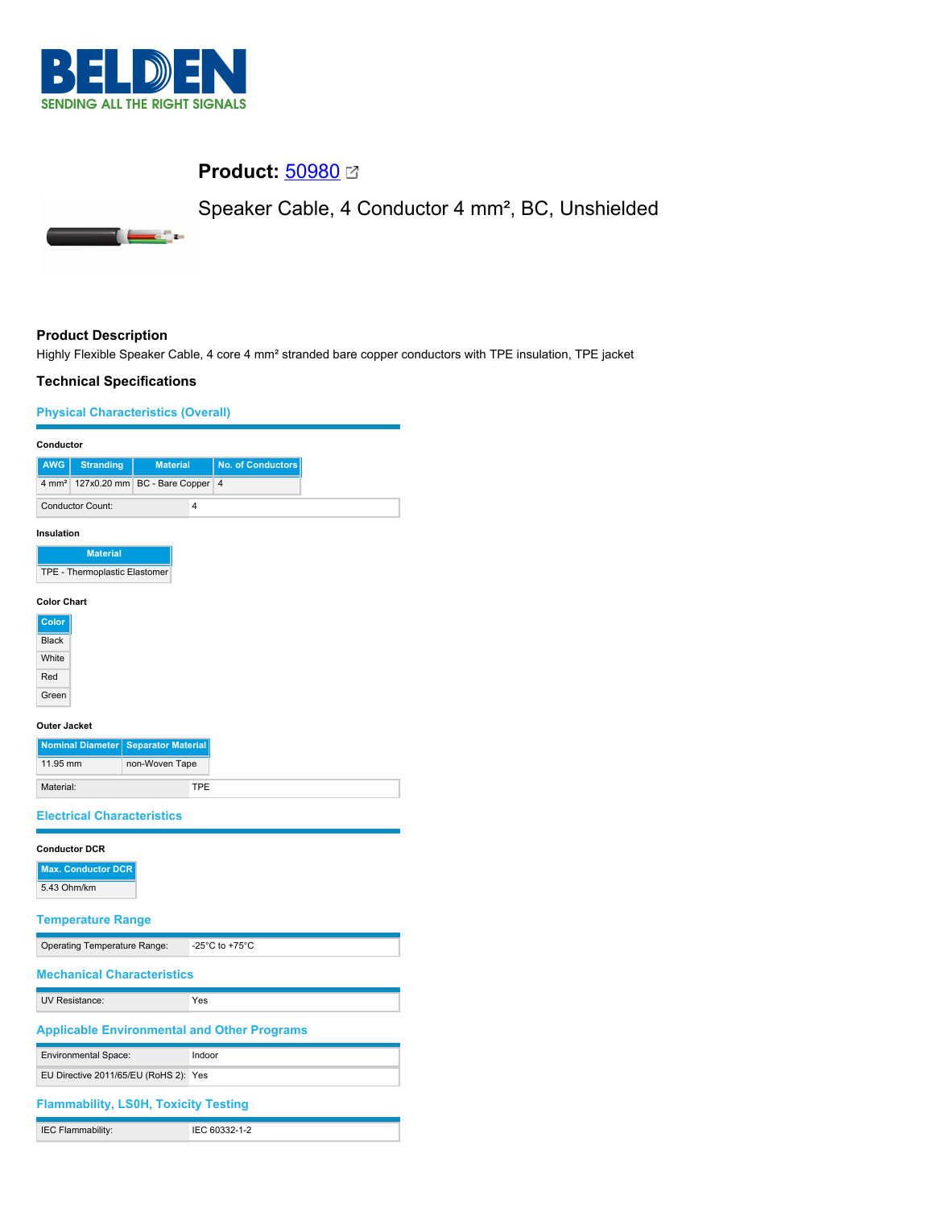

۰.

## **Product:** [50980](https://catalog.belden.com/index.cfm?event=pd&p=PF_50980&tab=downloads) **Ø**

Speaker Cable, 4 Conductor 4 mm², BC, Unshielded



## **Product Description**

Highly Flexible Speaker Cable, 4 core 4 mm² stranded bare copper conductors with TPE insulation, TPE jacket

## **Technical Specifications**

## **Physical Characteristics (Overall)**

| Conductor                                                                     |  |
|-------------------------------------------------------------------------------|--|
| <b>AWG</b><br><b>Material</b><br><b>No. of Conductors</b><br><b>Stranding</b> |  |
| $4 \text{ mm}^2$<br>127x0.20 mm<br>BC - Bare Copper<br>$\overline{4}$         |  |
| <b>Conductor Count:</b><br>4                                                  |  |
| Insulation                                                                    |  |
| <b>Material</b>                                                               |  |
| TPE - Thermoplastic Elastomer                                                 |  |
| <b>Color Chart</b>                                                            |  |
| <b>Color</b>                                                                  |  |
| <b>Black</b>                                                                  |  |
| White                                                                         |  |
| Red                                                                           |  |
| Green                                                                         |  |
| <b>Outer Jacket</b>                                                           |  |
| Nominal Diameter Separator Material                                           |  |
| 11.95 mm<br>non-Woven Tape                                                    |  |
| Material:<br><b>TPE</b>                                                       |  |
| <b>Electrical Characteristics</b>                                             |  |
|                                                                               |  |
| <b>Conductor DCR</b>                                                          |  |
| <b>Max. Conductor DCR</b>                                                     |  |
| 5.43 Ohm/km                                                                   |  |
| <b>Temperature Range</b>                                                      |  |
|                                                                               |  |
| Operating Temperature Range:<br>-25 $^{\circ}$ C to +75 $^{\circ}$ C          |  |
| <b>Mechanical Characteristics</b>                                             |  |
| <b>UV Resistance:</b><br>Yes                                                  |  |
| <b>Applicable Environmental and Other Programs</b>                            |  |
| Environmental Space:<br>Indoor                                                |  |
| EU Directive 2011/65/EU (RoHS 2): Yes                                         |  |
| <b>Flammability, LS0H, Toxicity Testing</b>                                   |  |
| IEC 60332-1-2<br>IEC Flammability:                                            |  |
|                                                                               |  |